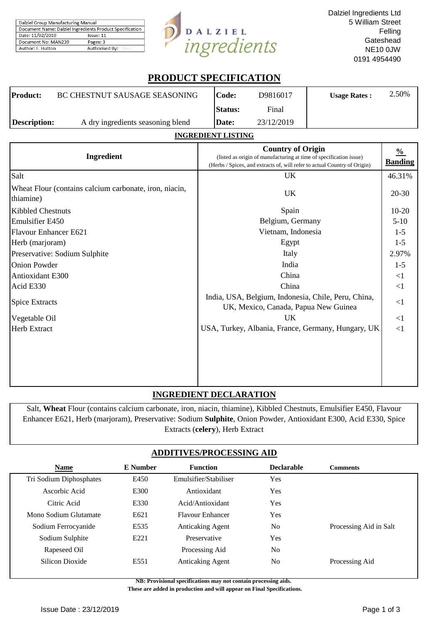| Dalziel Group Manufacturing Manual                       |                |  |  |  |
|----------------------------------------------------------|----------------|--|--|--|
| Document Name: Dalziel Ingredients Product Specification |                |  |  |  |
| Date: 11/02/2019<br>Issue: 11                            |                |  |  |  |
| Document No: MAN239                                      | Pages: 3       |  |  |  |
| Author: F. Hutton                                        | Authorised By: |  |  |  |



# **PRODUCT SPECIFICATION**

| Product:     | <b>BC CHESTNUT SAUSAGE SEASONING</b> | Code:          | D9816017   | <b>Usage Rates:</b> | 2.50% |
|--------------|--------------------------------------|----------------|------------|---------------------|-------|
|              |                                      | <b>Status:</b> | Final      |                     |       |
| Description: | A dry ingredients seasoning blend    | Date:          | 23/12/2019 |                     |       |

## **INGREDIENT LISTING**

| Ingredient                                                          | <b>Country of Origin</b><br>(listed as origin of manufacturing at time of specification issue)<br>(Herbs / Spices, and extracts of, will refer to actual Country of Origin) | $\frac{0}{0}$<br><b>Banding</b> |
|---------------------------------------------------------------------|-----------------------------------------------------------------------------------------------------------------------------------------------------------------------------|---------------------------------|
| Salt                                                                | UK                                                                                                                                                                          | 46.31%                          |
| Wheat Flour (contains calcium carbonate, iron, niacin,<br>thiamine) | UK                                                                                                                                                                          | 20-30                           |
| <b>Kibbled Chestnuts</b>                                            | Spain                                                                                                                                                                       | $10 - 20$                       |
| <b>Emulsifier E450</b>                                              | Belgium, Germany                                                                                                                                                            | $5-10$                          |
| Flavour Enhancer E621                                               | Vietnam, Indonesia                                                                                                                                                          | $1 - 5$                         |
| Herb (marjoram)                                                     | Egypt                                                                                                                                                                       | $1 - 5$                         |
| Preservative: Sodium Sulphite                                       | Italy                                                                                                                                                                       | 2.97%                           |
| <b>Onion Powder</b>                                                 | India                                                                                                                                                                       | $1 - 5$                         |
| Antioxidant E300                                                    | China                                                                                                                                                                       | <1                              |
| Acid E330                                                           | China                                                                                                                                                                       | <1                              |
| <b>Spice Extracts</b>                                               | India, USA, Belgium, Indonesia, Chile, Peru, China,<br>UK, Mexico, Canada, Papua New Guinea                                                                                 | <1                              |
| Vegetable Oil                                                       | UK                                                                                                                                                                          | $\leq$ 1                        |
| Herb Extract                                                        | USA, Turkey, Albania, France, Germany, Hungary, UK                                                                                                                          | <1                              |
|                                                                     |                                                                                                                                                                             |                                 |

## **INGREDIENT DECLARATION**

Salt, **Wheat** Flour (contains calcium carbonate, iron, niacin, thiamine), Kibbled Chestnuts, Emulsifier E450, Flavour Enhancer E621, Herb (marjoram), Preservative: Sodium **Sulphite**, Onion Powder, Antioxidant E300, Acid E330, Spice Extracts (**celery**), Herb Extract

## **ADDITIVES/PROCESSING AID**

| <b>Name</b>             | E Number | <b>Function</b>         | <b>Declarable</b> | <b>Comments</b>        |
|-------------------------|----------|-------------------------|-------------------|------------------------|
| Tri Sodium Diphosphates | E450     | Emulsifier/Stabiliser   | Yes               |                        |
| Ascorbic Acid           | E300     | Antioxidant             | Yes               |                        |
| Citric Acid             | E330     | Acid/Antioxidant        | Yes               |                        |
| Mono Sodium Glutamate   | E621     | <b>Flavour Enhancer</b> | Yes               |                        |
| Sodium Ferrocyanide     | E535     | <b>Anticaking Agent</b> | No                | Processing Aid in Salt |
| Sodium Sulphite         | E221     | Preservative            | Yes               |                        |
| Rapeseed Oil            |          | Processing Aid          | N <sub>0</sub>    |                        |
| Silicon Dioxide         | E551     | <b>Anticaking Agent</b> | No                | Processing Aid         |

**NB: Provisional specifications may not contain processing aids.** 

 **These are added in production and will appear on Final Specifications.**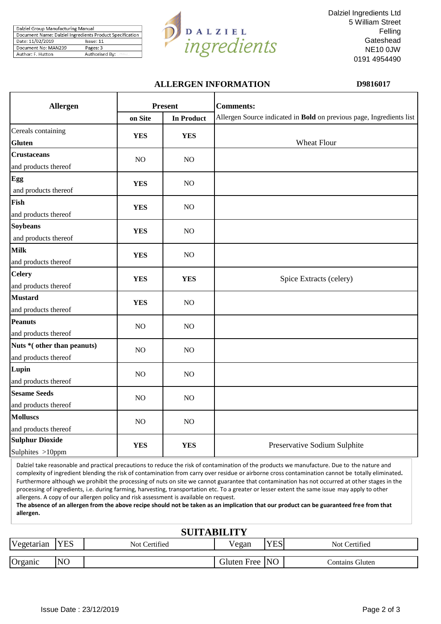| Dalziel Group Manufacturing Manual                       |                |  |  |
|----------------------------------------------------------|----------------|--|--|
| Document Name: Dalziel Ingredients Product Specification |                |  |  |
| Date: 11/02/2019                                         | Issue: 11      |  |  |
| Document No: MAN239                                      | Pages: 3       |  |  |
| Author: F. Hutton                                        | Authorised By: |  |  |



Dalziel Ingredients Ltd 5 William Street Felling **Gateshead** NE10 0JW 0191 4954490

## **ALLERGEN INFORMATION D9816017**

| <b>Allergen</b>                                    |            | <b>Present</b>    | <b>Comments:</b>                                                     |
|----------------------------------------------------|------------|-------------------|----------------------------------------------------------------------|
|                                                    | on Site    | <b>In Product</b> | Allergen Source indicated in Bold on previous page, Ingredients list |
| Cereals containing<br><b>Gluten</b>                | <b>YES</b> | <b>YES</b>        | Wheat Flour                                                          |
| <b>Crustaceans</b><br>and products thereof         | $\rm NO$   | NO                |                                                                      |
| Egg<br>and products thereof                        | <b>YES</b> | $NO$              |                                                                      |
| Fish<br>and products thereof                       | <b>YES</b> | $NO$              |                                                                      |
| <b>Soybeans</b><br>and products thereof            | <b>YES</b> | NO                |                                                                      |
| <b>Milk</b><br>and products thereof                | <b>YES</b> | $NO$              |                                                                      |
| <b>Celery</b><br>and products thereof              | <b>YES</b> | <b>YES</b>        | Spice Extracts (celery)                                              |
| <b>Mustard</b><br>and products thereof             | <b>YES</b> | NO                |                                                                      |
| <b>Peanuts</b><br>and products thereof             | NO         | $NO$              |                                                                      |
| Nuts *(other than peanuts)<br>and products thereof | NO         | $NO$              |                                                                      |
| Lupin<br>and products thereof                      | $\rm NO$   | $NO$              |                                                                      |
| <b>Sesame Seeds</b><br>and products thereof        | NO         | NO                |                                                                      |
| <b>Molluscs</b><br>and products thereof            | $\rm NO$   | $NO$              |                                                                      |
| <b>Sulphur Dioxide</b><br>Sulphites >10ppm         | <b>YES</b> | <b>YES</b>        | Preservative Sodium Sulphite                                         |

Dalziel take reasonable and practical precautions to reduce the risk of contamination of the products we manufacture. Due to the nature and complexity of ingredient blending the risk of contamination from carry over residue or airborne cross contamination cannot be totally eliminated**.**  Furthermore although we prohibit the processing of nuts on site we cannot guarantee that contamination has not occurred at other stages in the processing of ingredients, i.e. during farming, harvesting, transportation etc. To a greater or lesser extent the same issue may apply to other allergens. A copy of our allergen policy and risk assessment is available on request.

**The absence of an allergen from the above recipe should not be taken as an implication that our product can be guaranteed free from that allergen.**

| <b>SUITABILITY</b> |                |               |                |            |                 |  |  |
|--------------------|----------------|---------------|----------------|------------|-----------------|--|--|
| Vegetarian         | <b>YES</b>     | Not Certified | Vegan          | <b>YES</b> | Not Certified   |  |  |
| Organic            | N <sub>O</sub> |               | Gluten Free NO |            | Contains Gluten |  |  |